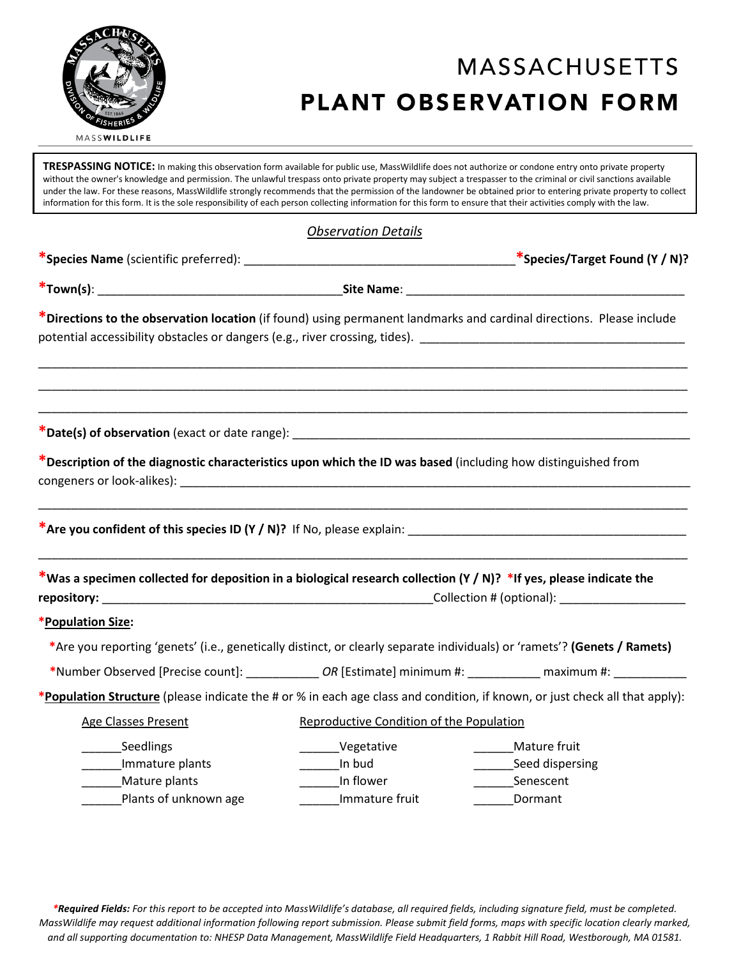

# **MASSACHUSETTS** PLANT OBSERVATION FORM

**TRESPASSING NOTICE:** In making this observation form available for public use, MassWildlife does not authorize or condone entry onto private property without the owner's knowledge and permission. The unlawful trespass onto private property may subject a trespasser to the criminal or civil sanctions available under the law. For these reasons, MassWildlife strongly recommends that the permission of the landowner be obtained prior to entering private property to collect information for this form. It is the sole responsibility of each person collecting information for this form to ensure that their activities comply with the law.

| <b>Observation Details</b> |  |
|----------------------------|--|
|                            |  |

|                                                                                                                                                                                                                                        |                                          | *Species/Target Found $(Y/N)$ ? |  |  |
|----------------------------------------------------------------------------------------------------------------------------------------------------------------------------------------------------------------------------------------|------------------------------------------|---------------------------------|--|--|
|                                                                                                                                                                                                                                        |                                          |                                 |  |  |
| *Directions to the observation location (if found) using permanent landmarks and cardinal directions. Please include<br>potential accessibility obstacles or dangers (e.g., river crossing, tides). [100] [10] [10] [10] [10] [10] [10 |                                          |                                 |  |  |
|                                                                                                                                                                                                                                        |                                          |                                 |  |  |
| *Description of the diagnostic characteristics upon which the ID was based (including how distinguished from                                                                                                                           |                                          |                                 |  |  |
|                                                                                                                                                                                                                                        |                                          |                                 |  |  |
| *Was a specimen collected for deposition in a biological research collection (Y / N)? *If yes, please indicate the                                                                                                                     |                                          |                                 |  |  |
| *Population Size:                                                                                                                                                                                                                      |                                          |                                 |  |  |
| *Are you reporting 'genets' (i.e., genetically distinct, or clearly separate individuals) or 'ramets'? (Genets / Ramets)                                                                                                               |                                          |                                 |  |  |
| *Number Observed [Precise count]: _______________OR [Estimate] minimum #: ____________ maximum #: ___________                                                                                                                          |                                          |                                 |  |  |
| *Population Structure (please indicate the # or % in each age class and condition, if known, or just check all that apply):                                                                                                            |                                          |                                 |  |  |
| <b>Age Classes Present</b>                                                                                                                                                                                                             | Reproductive Condition of the Population |                                 |  |  |
| Seedlings                                                                                                                                                                                                                              | Vegetative                               | Mature fruit                    |  |  |
| Immature plants                                                                                                                                                                                                                        | _________In bud                          | ________Seed dispersing         |  |  |
| Mature plants                                                                                                                                                                                                                          | In flower                                | Senescent                       |  |  |
| Plants of unknown age                                                                                                                                                                                                                  | Immature fruit                           | Dormant                         |  |  |

*\*Required Fields: For this report to be accepted into MassWildlife's database, all required fields, including signature field, must be completed. MassWildlife may request additional information following report submission. Please submit field forms, maps with specific location clearly marked, and all supporting documentation to: NHESP Data Management, MassWildlife Field Headquarters, 1 Rabbit Hill Road, Westborough, MA 01581.*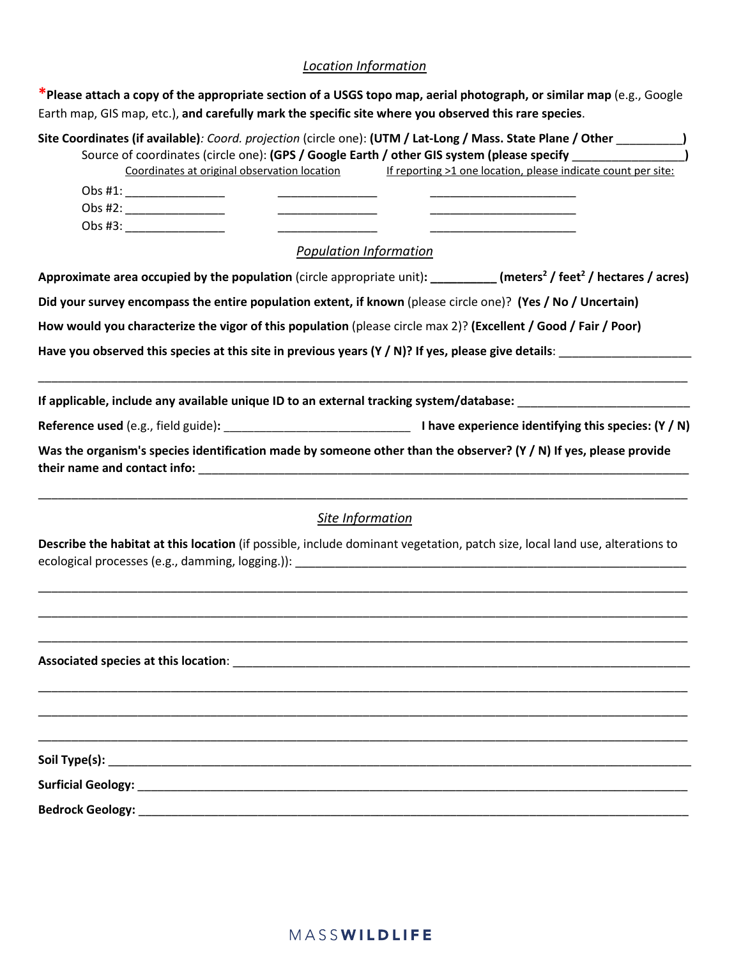## *Location Information*

| *Please attach a copy of the appropriate section of a USGS topo map, aerial photograph, or similar map (e.g., Google<br>Earth map, GIS map, etc.), and carefully mark the specific site where you observed this rare species.            |  |  |  |  |  |
|------------------------------------------------------------------------------------------------------------------------------------------------------------------------------------------------------------------------------------------|--|--|--|--|--|
| Site Coordinates (if available): Coord. projection (circle one): (UTM / Lat-Long / Mass. State Plane / Other _________)<br>Source of coordinates (circle one): (GPS / Google Earth / other GIS system (please specify __________________ |  |  |  |  |  |
| Coordinates at original observation location<br>If reporting >1 one location, please indicate count per site:                                                                                                                            |  |  |  |  |  |
| Obs #1: ________________                                                                                                                                                                                                                 |  |  |  |  |  |
| Obs #2: _______________                                                                                                                                                                                                                  |  |  |  |  |  |
| Obs #3: _________________                                                                                                                                                                                                                |  |  |  |  |  |
| <b>Population Information</b>                                                                                                                                                                                                            |  |  |  |  |  |
| Approximate area occupied by the population (circle appropriate unit): ________ (meters <sup>2</sup> / feet <sup>2</sup> / hectares / acres)                                                                                             |  |  |  |  |  |
| Did your survey encompass the entire population extent, if known (please circle one)? (Yes / No / Uncertain)                                                                                                                             |  |  |  |  |  |
| How would you characterize the vigor of this population (please circle max 2)? (Excellent / Good / Fair / Poor)                                                                                                                          |  |  |  |  |  |
| Have you observed this species at this site in previous years (Y / N)? If yes, please give details: ___________________________________                                                                                                  |  |  |  |  |  |
| If applicable, include any available unique ID to an external tracking system/database: ______________________                                                                                                                           |  |  |  |  |  |
|                                                                                                                                                                                                                                          |  |  |  |  |  |
| Was the organism's species identification made by someone other than the observer? (Y / N) If yes, please provide                                                                                                                        |  |  |  |  |  |
| Site Information                                                                                                                                                                                                                         |  |  |  |  |  |
| Describe the habitat at this location (if possible, include dominant vegetation, patch size, local land use, alterations to                                                                                                              |  |  |  |  |  |
|                                                                                                                                                                                                                                          |  |  |  |  |  |
|                                                                                                                                                                                                                                          |  |  |  |  |  |
|                                                                                                                                                                                                                                          |  |  |  |  |  |
|                                                                                                                                                                                                                                          |  |  |  |  |  |
|                                                                                                                                                                                                                                          |  |  |  |  |  |
|                                                                                                                                                                                                                                          |  |  |  |  |  |
|                                                                                                                                                                                                                                          |  |  |  |  |  |
|                                                                                                                                                                                                                                          |  |  |  |  |  |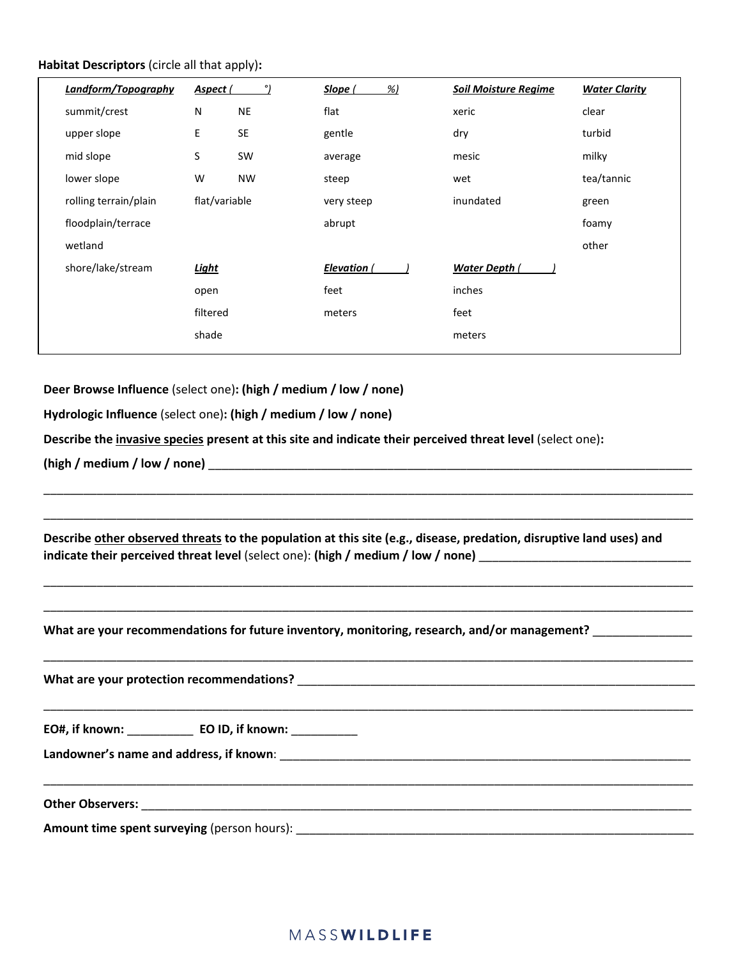#### **Habitat Descriptors** (circle all that apply)**:**

| Landform/Topography   | Aspect (      | ۰J        | %<br>Slope ( | <b>Soil Moisture Regime</b> | <b>Water Clarity</b> |
|-----------------------|---------------|-----------|--------------|-----------------------------|----------------------|
| summit/crest          | N             | <b>NE</b> | flat         | xeric                       | clear                |
| upper slope           | $\mathsf E$   | <b>SE</b> | gentle       | dry                         | turbid               |
| mid slope             | $\sf S$       | SW        | average      | mesic                       | milky                |
| lower slope           | W             | <b>NW</b> | steep        | wet                         | tea/tannic           |
| rolling terrain/plain | flat/variable |           | very steep   | inundated                   | green                |
| floodplain/terrace    |               |           | abrupt       |                             | foamy                |
| wetland               |               |           |              |                             | other                |
| shore/lake/stream     | Light         |           | Elevation (  | Water Depth (               |                      |
|                       | open          |           | feet         | inches                      |                      |
|                       | filtered      |           | meters       | feet                        |                      |
|                       | shade         |           |              | meters                      |                      |
|                       |               |           |              |                             |                      |

**Deer Browse Influence** (select one)**: (high / medium / low / none)** 

**Hydrologic Influence** (select one)**: (high / medium / low / none)**

**Describe the invasive species present at this site and indicate their perceived threat level** (select one)**:** 

**(high / medium / low / none)** \_\_\_\_\_\_\_\_\_\_\_\_\_\_\_\_\_\_\_\_\_\_\_\_\_\_\_\_\_\_\_\_\_\_\_\_\_\_\_\_\_\_\_\_\_\_\_\_\_\_\_\_\_\_\_\_\_\_\_\_\_\_\_\_\_\_\_\_\_\_\_\_\_

**Describe other observed threats to the population at this site (e.g., disease, predation, disruptive land uses) and indicate their perceived threat level** (select one): (high / medium / low / none)

\_\_\_\_\_\_\_\_\_\_\_\_\_\_\_\_\_\_\_\_\_\_\_\_\_\_\_\_\_\_\_\_\_\_\_\_\_\_\_\_\_\_\_\_\_\_\_\_\_\_\_\_\_\_\_\_\_\_\_\_\_\_\_\_\_\_\_\_\_\_\_\_\_\_\_\_\_\_\_\_\_\_\_\_\_\_\_\_\_\_\_\_\_\_\_\_\_\_

\_\_\_\_\_\_\_\_\_\_\_\_\_\_\_\_\_\_\_\_\_\_\_\_\_\_\_\_\_\_\_\_\_\_\_\_\_\_\_\_\_\_\_\_\_\_\_\_\_\_\_\_\_\_\_\_\_\_\_\_\_\_\_\_\_\_\_\_\_\_\_\_\_\_\_\_\_\_\_\_\_\_\_\_\_\_\_\_\_\_\_\_\_\_\_\_\_\_

\_\_\_\_\_\_\_\_\_\_\_\_\_\_\_\_\_\_\_\_\_\_\_\_\_\_\_\_\_\_\_\_\_\_\_\_\_\_\_\_\_\_\_\_\_\_\_\_\_\_\_\_\_\_\_\_\_\_\_\_\_\_\_\_\_\_\_\_\_\_\_\_\_\_\_\_\_\_\_\_\_\_\_\_\_\_\_\_\_\_\_\_\_\_\_\_\_\_

\_\_\_\_\_\_\_\_\_\_\_\_\_\_\_\_\_\_\_\_\_\_\_\_\_\_\_\_\_\_\_\_\_\_\_\_\_\_\_\_\_\_\_\_\_\_\_\_\_\_\_\_\_\_\_\_\_\_\_\_\_\_\_\_\_\_\_\_\_\_\_\_\_\_\_\_\_\_\_\_\_\_\_\_\_\_\_\_\_\_\_\_\_\_\_\_\_\_

What are your recommendations for future inventory, monitoring, research, and/or management?

\_\_\_\_\_\_\_\_\_\_\_\_\_\_\_\_\_\_\_\_\_\_\_\_\_\_\_\_\_\_\_\_\_\_\_\_\_\_\_\_\_\_\_\_\_\_\_\_\_\_\_\_\_\_\_\_\_\_\_\_\_\_\_\_\_\_\_\_\_\_\_\_\_\_\_\_\_\_\_\_\_\_\_\_\_\_\_\_\_\_\_\_\_\_\_\_\_\_ **What are your protection recommendations? Letter and the set of the set of the set of the set of the set of the set of the set of the set of the set of the set of the set of the set of the set of the set of the set of t** \_\_\_\_\_\_\_\_\_\_\_\_\_\_\_\_\_\_\_\_\_\_\_\_\_\_\_\_\_\_\_\_\_\_\_\_\_\_\_\_\_\_\_\_\_\_\_\_\_\_\_\_\_\_\_\_\_\_\_\_\_\_\_\_\_\_\_\_\_\_\_\_\_\_\_\_\_\_\_\_\_\_\_\_\_\_\_\_\_\_\_\_\_\_\_\_\_\_ **EO#, if known:** \_\_\_\_\_\_\_\_\_\_ **EO ID, if known:** \_\_\_\_\_\_\_\_\_\_ **Landowner's name and address, if known**: \_\_\_\_\_\_\_\_\_\_\_\_\_\_\_\_\_\_\_\_\_\_\_\_\_\_\_\_\_\_\_\_\_\_\_\_\_\_\_\_\_\_\_\_\_\_\_\_\_\_\_\_\_\_\_\_\_\_\_\_\_\_ \_\_\_\_\_\_\_\_\_\_\_\_\_\_\_\_\_\_\_\_\_\_\_\_\_\_\_\_\_\_\_\_\_\_\_\_\_\_\_\_\_\_\_\_\_\_\_\_\_\_\_\_\_\_\_\_\_\_\_\_\_\_\_\_\_\_\_\_\_\_\_\_\_\_\_\_\_\_\_\_\_\_\_\_\_\_\_\_\_\_\_\_\_\_\_\_\_\_ Other Observers: \_\_\_\_\_\_ **Amount time spent surveying** (person hours): \_\_\_\_\_\_\_\_\_\_\_\_\_\_\_\_\_\_\_\_\_\_\_\_\_\_\_\_\_\_\_\_\_\_\_\_\_\_\_\_\_\_\_\_\_\_\_\_\_\_\_\_\_\_\_\_\_\_\_\_